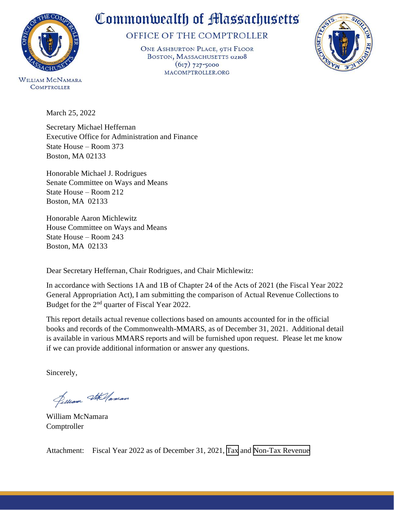

OFFICE OF THE COMPTROLLER

ONE ASHBURTON PLACE, 9TH FLOOR BOSTON, MASSACHUSETTS 02108  $(617) 727 - 5000$ MACOMPTROLLER.ORG



**WILLIAM MCNAMARA COMPTROLLER** 

March 25, 2022

Secretary Michael Heffernan Executive Office for Administration and Finance State House – Room 373 Boston, MA 02133

Honorable Michael J. Rodrigues Senate Committee on Ways and Means State House – Room 212 Boston, MA 02133

Honorable Aaron Michlewitz House Committee on Ways and Means State House – Room 243 Boston, MA 02133

Dear Secretary Heffernan, Chair Rodrigues, and Chair Michlewitz:

In accordance with Sections 1A and 1B of Chapter 24 of the Acts of 2021 (the Fiscal Year 2022 General Appropriation Act), I am submitting the comparison of Actual Revenue Collections to Budget for the 2nd quarter of Fiscal Year 2022.

This report details actual revenue collections based on amounts accounted for in the official books and records of the Commonwealth-MMARS, as of December 31, 2021. Additional detail is available in various MMARS reports and will be furnished upon request. Please let me know if we can provide additional information or answer any questions.

Sincerely,

Selliam Stellaman

William McNamara Comptroller

Attachment: Fiscal Year 2022 as of December 31, 2021, [Tax](#page-2-0) and [Non-Tax Revenue](#page-3-0)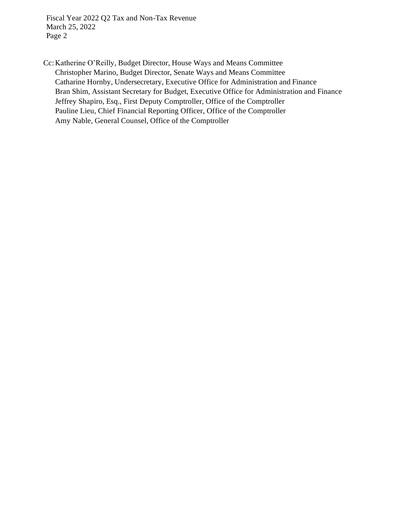Fiscal Year 2022 Q2 Tax and Non-Tax Revenue March 25, 2022 Page 2

Cc: Katherine O'Reilly, Budget Director, House Ways and Means Committee Christopher Marino, Budget Director, Senate Ways and Means Committee Catharine Hornby, Undersecretary, Executive Office for Administration and Finance Bran Shim, Assistant Secretary for Budget, Executive Office for Administration and Finance Jeffrey Shapiro, Esq., First Deputy Comptroller, Office of the Comptroller Pauline Lieu, Chief Financial Reporting Officer, Office of the Comptroller Amy Nable, General Counsel, Office of the Comptroller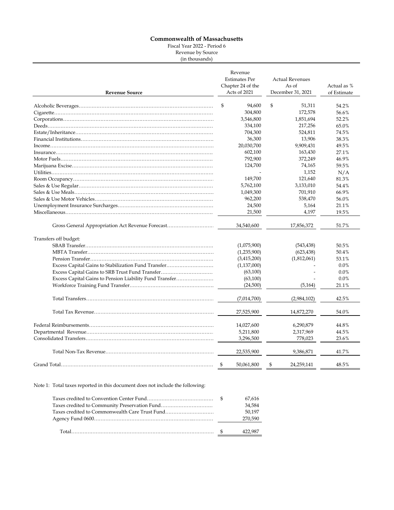Fiscal Year 2022 - Period 6

Revenue by Source (in thousands)

<span id="page-2-0"></span>

| <b>Revenue Source</b>                                                     | Revenue<br><b>Estimates Per</b><br>Chapter 24 of the<br>Acts of 2021 | <b>Actual Revenues</b><br>As of<br>December 31, 2021 | Actual as %<br>of Estimate |
|---------------------------------------------------------------------------|----------------------------------------------------------------------|------------------------------------------------------|----------------------------|
|                                                                           | \$<br>94,600                                                         | \$<br>51,311                                         | 54.2%                      |
|                                                                           | 304,800                                                              | 172,578                                              | 56.6%                      |
|                                                                           | 3,546,800                                                            | 1,851,694                                            | 52.2%                      |
|                                                                           | 334,100                                                              | 217,256                                              | 65.0%                      |
|                                                                           | 704,300                                                              | 524,811                                              | 74.5%                      |
|                                                                           | 36,300                                                               | 13,906                                               | 38.3%                      |
|                                                                           | 20,030,700                                                           | 9,909,431                                            | 49.5%                      |
|                                                                           | 602,100                                                              | 163,430                                              | 27.1%                      |
|                                                                           | 792,900                                                              | 372,249                                              | 46.9%                      |
|                                                                           | 124,700                                                              | 74,165                                               | 59.5%                      |
|                                                                           |                                                                      | 1,152                                                | N/A                        |
|                                                                           | 149,700                                                              | 121,640                                              | 81.3%                      |
|                                                                           | 5,762,100                                                            | 3,133,010                                            | 54.4%                      |
|                                                                           | 1,049,300                                                            | 701,910                                              | 66.9%                      |
|                                                                           | 962,200                                                              | 538,470                                              | 56.0%                      |
|                                                                           | 24,500                                                               | 5,164                                                | 21.1%                      |
|                                                                           | 21,500                                                               | 4,197                                                | 19.5%                      |
| Gross General Appropriation Act Revenue Forecast<br>Transfers off budget: | 34,540,600                                                           | 17,856,372                                           | 51.7%                      |
|                                                                           | (1,075,900)                                                          | (543, 438)                                           | 50.5%                      |
|                                                                           | (1,235,900)                                                          | (623, 438)                                           | 50.4%                      |
|                                                                           | (3,415,200)                                                          | (1,812,061)                                          | 53.1%                      |
| Excess Capital Gains to Stabilization Fund Transfer                       | (1,137,000)                                                          |                                                      | $0.0\%$                    |
|                                                                           | (63,100)                                                             |                                                      | 0.0%                       |
| Excess Capital Gains to SRB Trust Fund Transfer                           | (63,100)                                                             |                                                      | 0.0%                       |
| Excess Capital Gains to Pension Liability Fund Transfer                   | (24,500)                                                             | (5, 164)                                             | 21.1%                      |
|                                                                           |                                                                      |                                                      |                            |
|                                                                           | (7,014,700)                                                          | (2,984,102)                                          | 42.5%                      |
|                                                                           | 27,525,900                                                           | 14,872,270                                           | 54.0%                      |
|                                                                           | 14,027,600                                                           | 6,290,879                                            | 44.8%                      |
|                                                                           | 5,211,800                                                            | 2,317,969                                            | 44.5%                      |
|                                                                           | 3,296,500                                                            | 778,023                                              | 23.6%                      |
|                                                                           | 22,535,900                                                           | 9,386,871                                            | 41.7%                      |
|                                                                           | 50,061,800<br>- \$                                                   | \$<br>24,259,141                                     | 48.5%                      |

Note 1: Total taxes reported in this document does not include the following:

|                                                | 67.616  |  |
|------------------------------------------------|---------|--|
| Taxes credited to Community Preservation Fund  | 34,584  |  |
| Taxes credited to Commonwealth Care Trust Fund | 50.197  |  |
|                                                | 270,590 |  |
|                                                | 422,987 |  |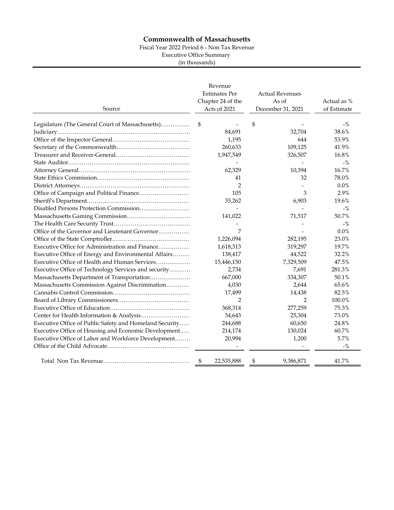Fiscal Year 2022 Period 6 - Non Tax Revenue

Executive Office Summary

(in thousands)

<span id="page-3-0"></span>

| Source                                                  | Revenue<br><b>Estimates Per</b><br>Chapter 24 of the<br>Acts of 2021 |            | <b>Actual Revenues</b><br>As of<br>December 31, 2021 | Actual as %<br>of Estimate |
|---------------------------------------------------------|----------------------------------------------------------------------|------------|------------------------------------------------------|----------------------------|
| Legislature (The General Court of Massachusetts)        | \$                                                                   |            | \$                                                   | $-$ %                      |
|                                                         |                                                                      | 84,691     | 32.704                                               | 38.6%                      |
|                                                         |                                                                      | 1,195      | 644                                                  | 53.9%                      |
|                                                         |                                                                      | 260,633    | 109,125                                              | 41.9%                      |
|                                                         |                                                                      | 1,947,549  | 326,507                                              | 16.8%                      |
|                                                         |                                                                      |            |                                                      | $-$ %                      |
|                                                         |                                                                      | 62,329     | 10,394                                               | 16.7%                      |
|                                                         |                                                                      | 41         | 32                                                   | 78.0%                      |
|                                                         |                                                                      | 2          |                                                      | $0.0\%$                    |
|                                                         |                                                                      | 105        | 3                                                    | 2.9%                       |
|                                                         |                                                                      | 35,262     | 6,903                                                | 19.6%                      |
|                                                         |                                                                      |            |                                                      | $-$ %                      |
|                                                         |                                                                      | 141,022    | 71,517                                               | 50.7%                      |
|                                                         |                                                                      |            |                                                      | $-$ %                      |
| Office of the Governor and Lieutenant Governor          |                                                                      | 7          |                                                      | 0.0%                       |
|                                                         |                                                                      | 1,226,094  | 282,195                                              | 23.0%                      |
| Executive Office for Administration and Finance         |                                                                      | 1,618,313  | 319,297                                              | 19.7%                      |
| Executive Office of Energy and Environmental Affairs    |                                                                      | 138,417    | 44,522                                               | 32.2%                      |
| Executive Office of Health and Human Services           |                                                                      | 15,446,150 | 7,329,509                                            | 47.5%                      |
| Executive Office of Technology Services and security    |                                                                      | 2,734      | 7,691                                                | 281.3%                     |
| Massachusetts Department of Transportation              |                                                                      | 667,000    | 334,307                                              | 50.1%                      |
| Massachusetts Commission Against Discrimination         |                                                                      | 4,030      | 2,644                                                | 65.6%                      |
|                                                         |                                                                      | 17,499     | 14,438                                               | 82.5%                      |
|                                                         |                                                                      | 2          | 2                                                    | 100.0%                     |
|                                                         |                                                                      | 368,314    | 277,259                                              | 75.3%                      |
|                                                         |                                                                      | 34,643     | 25,304                                               | 73.0%                      |
| Executive Office of Public Safety and Homeland Security |                                                                      | 244,688    | 60,650                                               | 24.8%                      |
| Executive Office of Housing and Economic Development    |                                                                      | 214,174    | 130,024                                              | 60.7%                      |
| Executive Office of Labor and Workforce Development     |                                                                      | 20,994     | 1,200                                                | 5.7%                       |
|                                                         |                                                                      |            |                                                      | $-$ %                      |
|                                                         | \$                                                                   | 22,535,888 | \$<br>9,386,871                                      | 41.7%                      |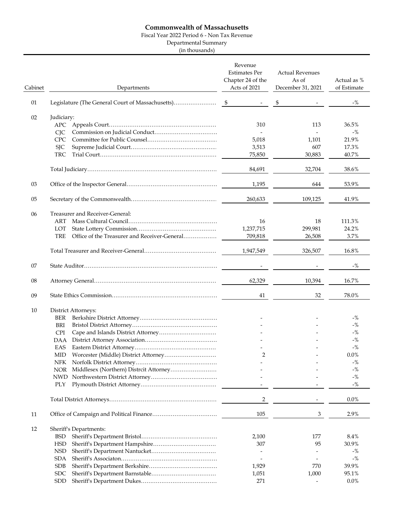Fiscal Year 2022 Period 6 - Non Tax Revenue

Departmental Summary

(in thousands)

| Cabinet | Departments                                                | Revenue<br><b>Estimates Per</b><br>Chapter 24 of the<br>Acts of 2021 | <b>Actual Revenues</b><br>As of<br>December 31, 2021 | Actual as %<br>of Estimate |
|---------|------------------------------------------------------------|----------------------------------------------------------------------|------------------------------------------------------|----------------------------|
| 01      |                                                            |                                                                      | \$                                                   | $-$ %                      |
| 02      | Judiciary:                                                 |                                                                      |                                                      |                            |
|         |                                                            | 310                                                                  | 113                                                  | 36.5%                      |
|         | <b>CIC</b>                                                 |                                                                      |                                                      | $-$ %                      |
|         | <b>CPC</b>                                                 | 5,018                                                                | 1,101                                                | 21.9%                      |
|         | <b>SJC</b>                                                 | 3,513                                                                | 607                                                  | 17.3%                      |
|         | TRC                                                        | 75,850                                                               | 30,883                                               | 40.7%                      |
|         |                                                            | 84,691                                                               | 32,704                                               | 38.6%                      |
|         |                                                            |                                                                      |                                                      |                            |
| 03      |                                                            | 1,195                                                                | 644                                                  | 53.9%                      |
| 05      |                                                            | 260,633                                                              | 109,125                                              | 41.9%                      |
|         |                                                            |                                                                      |                                                      |                            |
| 06      | Treasurer and Receiver-General:                            |                                                                      |                                                      |                            |
|         | ART                                                        | 16                                                                   | 18                                                   | 111.3%                     |
|         | LOT                                                        | 1,237,715                                                            | 299,981                                              | 24.2%                      |
|         | <b>TRE</b><br>Office of the Treasurer and Receiver-General | 709,818                                                              | 26,508                                               | 3.7%                       |
|         |                                                            | 1,947,549                                                            | 326,507                                              | 16.8%                      |
|         |                                                            |                                                                      |                                                      |                            |
| 07      |                                                            |                                                                      |                                                      | $-$ %                      |
| 08      |                                                            | 62,329                                                               | 10,394                                               | 16.7%                      |
| 09      |                                                            | 41                                                                   | 32                                                   | 78.0%                      |
|         |                                                            |                                                                      |                                                      |                            |
| 10      | District Attorneys:                                        |                                                                      |                                                      |                            |
|         | BER                                                        |                                                                      |                                                      | $-$ %                      |
|         | BRI<br><b>CPI</b>                                          |                                                                      |                                                      | $-$ %<br>$-$ %             |
|         | <b>DAA</b>                                                 |                                                                      |                                                      | $-$ %                      |
|         | EAS                                                        |                                                                      |                                                      | $-$ %                      |
|         | MID.                                                       | 2                                                                    |                                                      | 0.0%                       |
|         | <b>NFK</b>                                                 |                                                                      |                                                      | $-$ %                      |
|         | NOR                                                        |                                                                      |                                                      | $-$ %                      |
|         | <b>NWD</b>                                                 |                                                                      |                                                      | $-$ %                      |
|         | PLY                                                        |                                                                      |                                                      | $-$ %                      |
|         |                                                            |                                                                      |                                                      |                            |
|         |                                                            | 2                                                                    |                                                      | $0.0\%$                    |
| 11      |                                                            | 105                                                                  | 3                                                    | 2.9%                       |
|         |                                                            |                                                                      |                                                      |                            |
| 12      | Sheriff's Departments:                                     |                                                                      | 177                                                  | 8.4%                       |
|         | BSD<br><b>HSD</b>                                          | 2,100<br>307                                                         | 95                                                   | 30.9%                      |
|         | <b>NSD</b>                                                 |                                                                      |                                                      | $-$ %                      |
|         | <b>SDA</b>                                                 |                                                                      |                                                      | $-$ %                      |
|         | <b>SDB</b>                                                 | 1,929                                                                | 770                                                  | 39.9%                      |
|         | <b>SDC</b>                                                 | 1,051                                                                | 1,000                                                | 95.1%                      |
|         | <b>SDD</b>                                                 | 271                                                                  |                                                      | $0.0\%$                    |
|         |                                                            |                                                                      |                                                      |                            |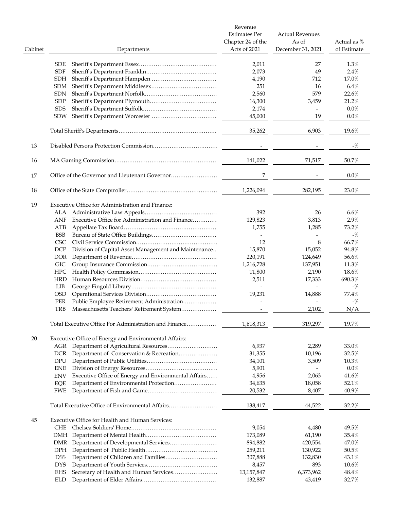|         |                                                                    | Revenue              |                        |             |
|---------|--------------------------------------------------------------------|----------------------|------------------------|-------------|
|         |                                                                    | <b>Estimates Per</b> | <b>Actual Revenues</b> |             |
|         |                                                                    | Chapter 24 of the    | As of                  | Actual as % |
| Cabinet | Departments                                                        | Acts of 2021         | December 31, 2021      | of Estimate |
|         | <b>SDE</b>                                                         | 2,011                | 27                     | 1.3%        |
|         | <b>SDF</b>                                                         | 2,073                | 49                     | 2.4%        |
|         | <b>SDH</b>                                                         | 4,190                | 712                    | 17.0%       |
|         | <b>SDM</b>                                                         | 251                  | 16                     | 6.4%        |
|         | <b>SDN</b>                                                         | 2,560                | 579                    | 22.6%       |
|         |                                                                    |                      |                        |             |
|         | <b>SDP</b>                                                         | 16,300               | 3,459                  | 21.2%       |
|         | <b>SDS</b>                                                         | 2,174                |                        | $0.0\%$     |
|         | <b>SDW</b>                                                         | 45,000               | 19                     | 0.0%        |
|         |                                                                    | 35,262               | 6,903                  | 19.6%       |
| 13      |                                                                    |                      |                        | $-$ %       |
| 16      |                                                                    | 141,022              | 71,517                 | 50.7%       |
| 17      |                                                                    | 7                    |                        | $0.0\%$     |
|         |                                                                    |                      |                        |             |
| 18      |                                                                    | 1,226,094            | 282,195                | 23.0%       |
| 19      | Executive Office for Administration and Finance:                   |                      |                        |             |
|         |                                                                    | 392                  | 26                     | 6.6%        |
|         | Executive Office for Administration and Finance<br>ANF             | 129,823              | 3,813                  | 2.9%        |
|         | ATB                                                                | 1,755                | 1,285                  | 73.2%       |
|         | <b>BSB</b>                                                         |                      |                        | $-$ %       |
|         | <b>CSC</b>                                                         | 12                   | 8                      | 66.7%       |
|         | Division of Capital Asset Management and Maintenance<br><b>DCP</b> | 15,870               | 15,052                 | 94.8%       |
|         |                                                                    |                      |                        |             |
|         | DOR <sub>.</sub>                                                   | 220,191              | 124,649                | 56.6%       |
|         | <b>GIC</b>                                                         | 1,216,728            | 137,951                | 11.3%       |
|         | HPC                                                                | 11,800               | 2,190                  | 18.6%       |
|         | <b>HRD</b>                                                         | 2,511                | 17,333                 | 690.3%      |
|         | LIB                                                                |                      |                        | $-$ %       |
|         | <b>OSD</b>                                                         | 19,231               | 14,888                 | 77.4%       |
|         | PER<br>Public Employee Retirement Administration                   |                      |                        | $-$ %       |
|         | TRB<br>Massachusetts Teachers' Retirement System                   |                      | 2,102                  | N/A         |
|         | Total Executive Office For Administration and Finance              | 1,618,313            | 319,297                | 19.7%       |
| 20      | Executive Office of Energy and Environmental Affairs:              |                      |                        |             |
|         | Department of Agricultural Resources<br>AGR                        | 6,937                | 2,289                  | 33.0%       |
|         | Department of Conservation & Recreation<br><b>DCR</b>              | 31,355               | 10,196                 | 32.5%       |
|         |                                                                    |                      |                        |             |
|         | DPU                                                                | 34,101               | 3,509                  | 10.3%       |
|         | <b>ENE</b>                                                         | 5,901                |                        | $0.0\%$     |
|         | Executive Office of Energy and Environmental Affairs<br><b>ENV</b> | 4,956                | 2,063                  | 41.6%       |
|         | Department of Environmental Protection<br>EQE                      | 34,635               | 18,058                 | 52.1%       |
|         | FWE                                                                | 20,532               | 8,407                  | 40.9%       |
|         | Total Executive Office of Environmental Affairs                    | 138,417              | 44,522                 | 32.2%       |
| 45      | Executive Office for Health and Human Services:                    |                      |                        |             |
|         | CHE                                                                | 9,054                | 4,480                  | 49.5%       |
|         |                                                                    | 173,089              | 61,190                 | 35.4%       |
|         |                                                                    |                      |                        | 47.0%       |
|         | DMR                                                                | 894,882              | 420,554                |             |
|         | <b>DPH</b>                                                         | 259,211              | 130,922                | 50.5%       |
|         | <b>DSS</b>                                                         | 307,888              | 132,830                | 43.1%       |
|         | <b>DYS</b>                                                         | 8,457                | 893                    | 10.6%       |
|         | Secretary of Health and Human Services<br><b>EHS</b>               | 13,157,847           | 6,373,962              | 48.4%       |
|         | ELD                                                                | 132,887              | 43,419                 | 32.7%       |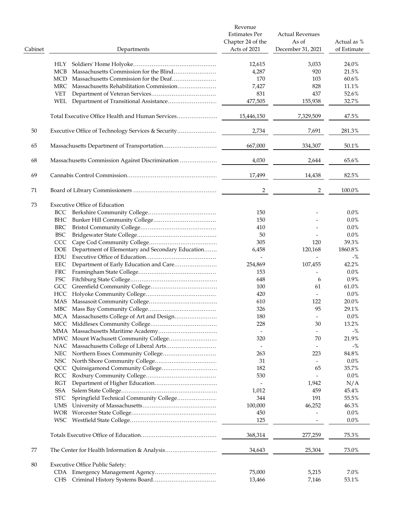| Cabinet | Departments                                                    | Revenue<br><b>Estimates Per</b><br>Chapter 24 of the<br>Acts of 2021 | <b>Actual Revenues</b><br>As of<br>December 31, 2021 | Actual as %<br>of Estimate |
|---------|----------------------------------------------------------------|----------------------------------------------------------------------|------------------------------------------------------|----------------------------|
|         |                                                                |                                                                      |                                                      |                            |
|         |                                                                | 12,615                                                               | 3,033                                                | 24.0%                      |
|         | Massachusetts Commission for the Blind<br><b>MCB</b>           | 4,287                                                                | 920                                                  | 21.5%                      |
|         | Massachusetts Commission for the Deaf<br>MCD.                  | 170                                                                  | 103                                                  | 60.6%                      |
|         | Massachusetts Rehabilitation Commission<br>MRC                 | 7,427                                                                | 828                                                  | 11.1%                      |
|         | <b>VET</b>                                                     | 831                                                                  | 437                                                  | 52.6%                      |
|         | WEL                                                            | 477,505                                                              | 155,938                                              | 32.7%                      |
|         | Total Executive Office Health and Human Services               | 15,446,150                                                           | 7,329,509                                            | 47.5%                      |
| 50      | Executive Office of Technology Services & Security             | 2,734                                                                | 7,691                                                | 281.3%                     |
| 65      |                                                                | 667,000                                                              | 334,307                                              | 50.1%                      |
| 68      |                                                                | 4,030                                                                | 2,644                                                | 65.6%                      |
| 69      |                                                                | 17,499                                                               | 14,438                                               | 82.5%                      |
| 71      |                                                                | 2                                                                    | 2                                                    | 100.0%                     |
|         |                                                                |                                                                      |                                                      |                            |
| 73      | <b>Executive Office of Education</b>                           |                                                                      |                                                      |                            |
|         | BCC                                                            | 150                                                                  |                                                      | $0.0\%$                    |
|         | BHC                                                            | 150                                                                  |                                                      | 0.0%                       |
|         | <b>BRC</b>                                                     | 410                                                                  |                                                      | 0.0%                       |
|         | <b>BSC</b>                                                     | 50                                                                   |                                                      | $0.0\%$                    |
|         | CCC                                                            | 305                                                                  | 120                                                  | 39.3%                      |
|         | Department of Elementary and Secondary Education<br><b>DOE</b> | 6,458                                                                | 120,168                                              | 1860.8%                    |
|         | <b>EDU</b>                                                     | $\overline{\phantom{0}}$                                             |                                                      | $-$ %                      |
|         | Department of Early Education and Care<br>EEC                  | 254,869                                                              | 107,455                                              | 42.2%                      |
|         | <b>FRC</b>                                                     | 153                                                                  |                                                      | $0.0\%$                    |
|         | FSC                                                            | 648                                                                  | 6                                                    | 0.9%                       |
|         | GCC                                                            | 100                                                                  | 61                                                   | 61.0%                      |
|         | HCC                                                            | 420                                                                  |                                                      | $0.0\%$                    |
|         | MAS                                                            | 610                                                                  | 122                                                  | 20.0%                      |
|         |                                                                | 326                                                                  | 95                                                   | 29.1%                      |
|         | MCA Massachusetts College of Art and Design                    | 180                                                                  | $\overline{\phantom{a}}$                             | $0.0\%$                    |
|         |                                                                | 228                                                                  | 30                                                   | 13.2%                      |
|         |                                                                | $\overline{\phantom{a}}$                                             |                                                      | $-$ %                      |
|         |                                                                | 320                                                                  | 70                                                   | 21.9%                      |
|         |                                                                |                                                                      |                                                      | $-$ %                      |
|         |                                                                |                                                                      |                                                      |                            |
|         |                                                                | 263                                                                  | 223                                                  | 84.8%                      |
|         | NSC                                                            | 31                                                                   |                                                      | 0.0%                       |
|         | Quinsigamond Community College<br>QCC                          | 182                                                                  | 65                                                   | 35.7%                      |
|         | RCC                                                            | 530                                                                  |                                                      | $0.0\%$                    |
|         | RGT                                                            |                                                                      | 1,942                                                | N/A                        |
|         | SSA                                                            | 1,012                                                                | 459                                                  | 45.4%                      |
|         | Springfield Technical Community College<br><b>STC</b>          | 344                                                                  | 191                                                  | 55.5%                      |
|         | UMS                                                            | 100,000                                                              | 46,252                                               | 46.3%                      |
|         | WOR                                                            | 450                                                                  |                                                      | $0.0\%$                    |
|         |                                                                | 125                                                                  | $\overline{\phantom{a}}$                             | $0.0\%$                    |
|         |                                                                | 368,314                                                              | 277,259                                              | 75.3%                      |
| 77      |                                                                | 34,643                                                               | 25,304                                               | 73.0%                      |
| 80      | <b>Executive Office Public Safety:</b>                         |                                                                      |                                                      |                            |
|         |                                                                | 75,000                                                               | 5,215                                                | 7.0%                       |
|         | CHS                                                            | 13,466                                                               | 7,146                                                | 53.1%                      |
|         |                                                                |                                                                      |                                                      |                            |